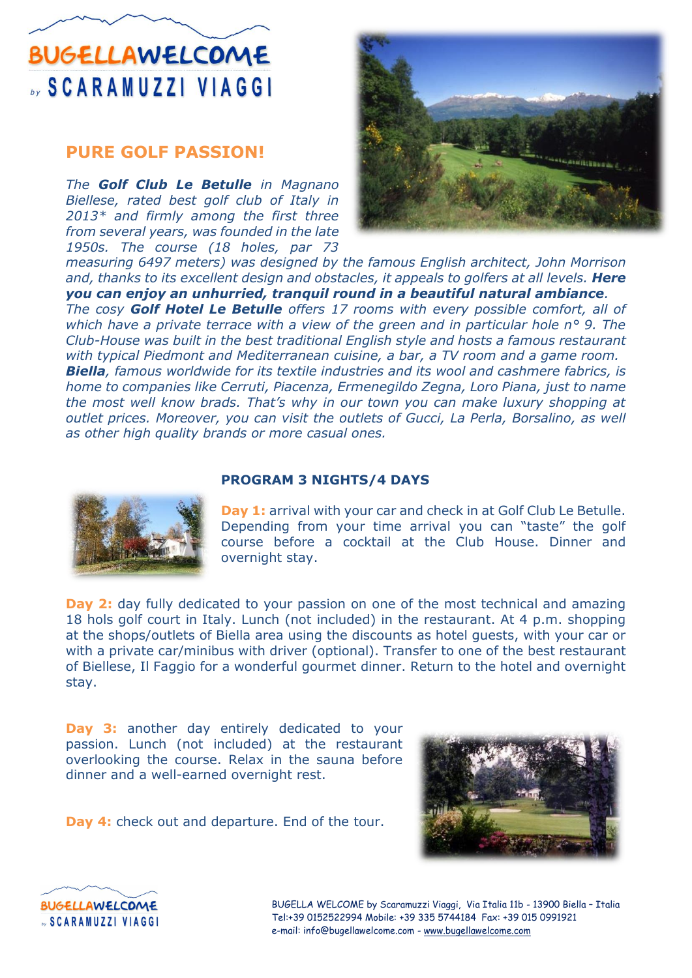## **BUGELLAWELCOME SCARAMUZZI VIAGGI**

### **PURE GOLF PASSION!**

*The Golf Club Le Betulle in Magnano Biellese, rated best golf club of Italy in 2013\* and firmly among the first three from several years, was founded in the late 1950s. The course (18 holes, par 73* 



*measuring 6497 meters) was designed by the famous English architect, John Morrison and, thanks to its excellent design and obstacles, it appeals to golfers at all levels. Here you can enjoy an unhurried, tranquil round in a beautiful natural ambiance. The cosy Golf Hotel Le Betulle offers 17 rooms with every possible comfort, all of which have a private terrace with a view of the green and in particular hole n° 9. The Club-House was built in the best traditional English style and hosts a famous restaurant with typical Piedmont and Mediterranean cuisine, a bar, a TV room and a game room. Biella, famous worldwide for its textile industries and its wool and cashmere fabrics, is home to companies like Cerruti, Piacenza, Ermenegildo Zegna, Loro Piana, just to name the most well know brads. That's why in our town you can make luxury shopping at outlet prices. Moreover, you can visit the outlets of Gucci, La Perla, Borsalino, as well as other high quality brands or more casual ones.*





**Day 2:** day fully dedicated to your passion on one of the most technical and amazing 18 hols golf court in Italy. Lunch (not included) in the restaurant. At 4 p.m. shopping at the shops/outlets of Biella area using the discounts as hotel guests, with your car or with a private car/minibus with driver (optional). Transfer to one of the best restaurant of Biellese, Il Faggio for a wonderful gourmet dinner. Return to the hotel and overnight stay.

**Day 3:** another day entirely dedicated to your passion. Lunch (not included) at the restaurant overlooking the course. Relax in the sauna before dinner and a well-earned overnight rest.

**Day 4:** check out and departure. End of the tour.





BUGELLA WELCOME by Scaramuzzi Viaggi, Via Italia 11b - 13900 Biella – Italia Tel:+39 0152522994 Mobile: +39 335 5744184 Fax: +39 015 0991921 e-mail: info@bugellawelcome.com - [www.bugellawelcome.com](http://www.bugellawelcome.com/)